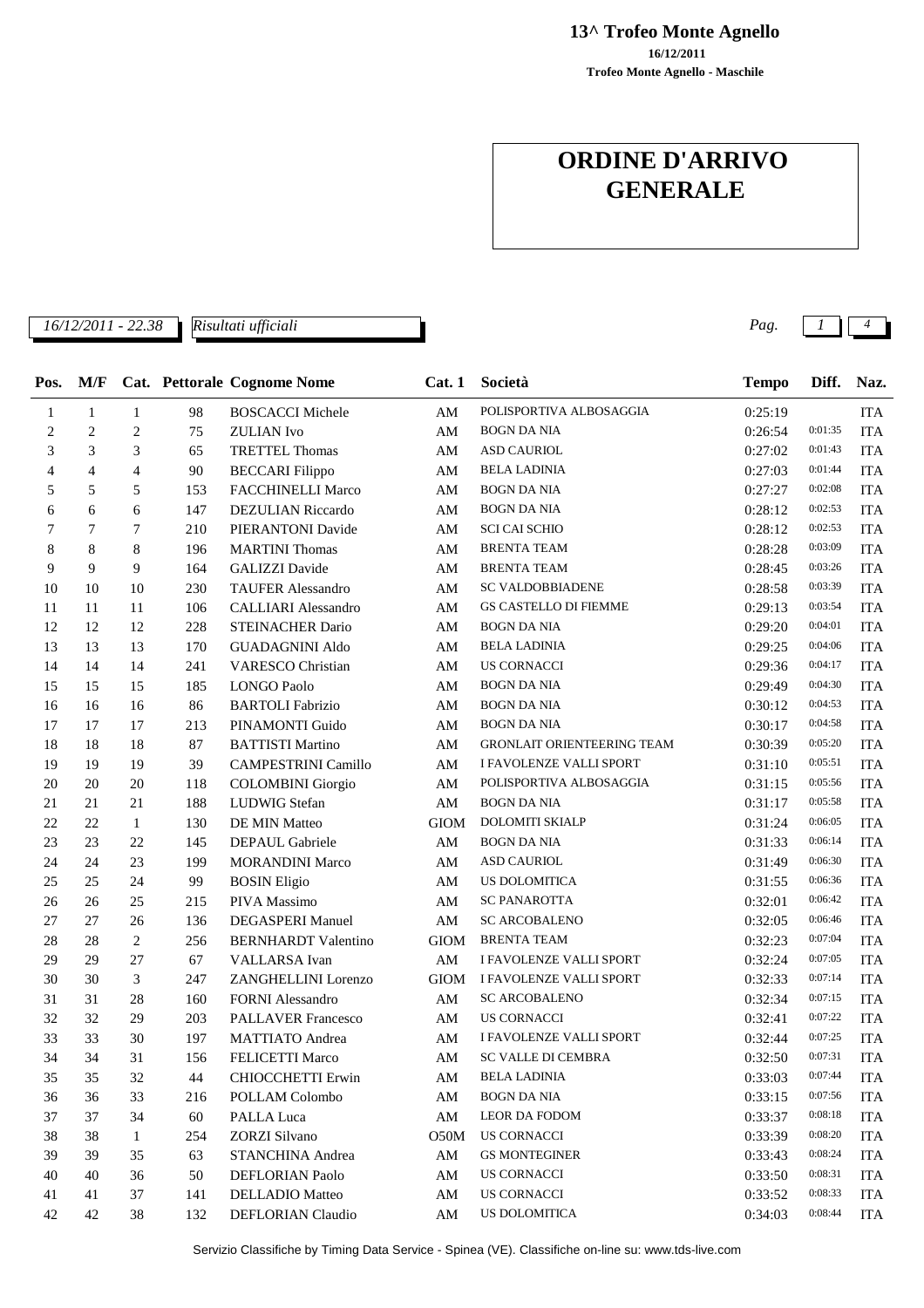**13^ Trofeo Monte Agnello**

**Trofeo Monte Agnello - Maschile 16/12/2011**

### **ORDINE D'ARRIVO GENERALE**

*16/12/2011 - 22.38 Pag. 1 4*

| Pos.       | M/F              |                |     | Cat. Pettorale Cognome Nome | Cat.1                  | Società                           | <b>Tempo</b> | Diff.   | Naz.       |
|------------|------------------|----------------|-----|-----------------------------|------------------------|-----------------------------------|--------------|---------|------------|
| 1          | $\mathbf{1}$     | $\mathbf{1}$   | 98  | <b>BOSCACCI Michele</b>     | $\mathbf{A}\mathbf{M}$ | POLISPORTIVA ALBOSAGGIA           | 0:25:19      |         | <b>ITA</b> |
| $\sqrt{2}$ | $\boldsymbol{2}$ | $\sqrt{2}$     | 75  | <b>ZULIAN</b> Ivo           | AM                     | <b>BOGN DA NIA</b>                | 0:26:54      | 0:01:35 | <b>ITA</b> |
| 3          | 3                | 3              | 65  | <b>TRETTEL Thomas</b>       | AM                     | <b>ASD CAURIOL</b>                | 0:27:02      | 0:01:43 | <b>ITA</b> |
| 4          | $\overline{4}$   | $\overline{4}$ | 90  | <b>BECCARI Filippo</b>      | AM                     | <b>BELA LADINIA</b>               | 0:27:03      | 0:01:44 | <b>ITA</b> |
| 5          | 5                | 5              | 153 | <b>FACCHINELLI Marco</b>    | AM                     | <b>BOGN DA NIA</b>                | 0:27:27      | 0:02:08 | <b>ITA</b> |
| 6          | 6                | 6              | 147 | <b>DEZULIAN Riccardo</b>    | AM                     | <b>BOGN DA NIA</b>                | 0:28:12      | 0:02:53 | <b>ITA</b> |
| 7          | 7                | 7              | 210 | PIERANTONI Davide           | AM                     | <b>SCI CAI SCHIO</b>              | 0:28:12      | 0:02:53 | <b>ITA</b> |
| 8          | 8                | 8              | 196 | <b>MARTINI</b> Thomas       | AM                     | <b>BRENTA TEAM</b>                | 0:28:28      | 0:03:09 | <b>ITA</b> |
| 9          | 9                | 9              | 164 | <b>GALIZZI</b> Davide       | AM                     | <b>BRENTA TEAM</b>                | 0:28:45      | 0:03:26 | <b>ITA</b> |
| 10         | 10               | 10             | 230 | <b>TAUFER Alessandro</b>    | AM                     | <b>SC VALDOBBIADENE</b>           | 0:28:58      | 0:03:39 | <b>ITA</b> |
| 11         | 11               | 11             | 106 | <b>CALLIARI</b> Alessandro  | AM                     | <b>GS CASTELLO DI FIEMME</b>      | 0:29:13      | 0:03:54 | <b>ITA</b> |
| 12         | 12               | 12             | 228 | STEINACHER Dario            | AM                     | <b>BOGN DA NIA</b>                | 0:29:20      | 0:04:01 | <b>ITA</b> |
| 13         | 13               | 13             | 170 | <b>GUADAGNINI Aldo</b>      | AM                     | <b>BELA LADINIA</b>               | 0:29:25      | 0:04:06 | <b>ITA</b> |
| 14         | 14               | 14             | 241 | <b>VARESCO</b> Christian    | AM                     | <b>US CORNACCI</b>                | 0:29:36      | 0:04:17 | <b>ITA</b> |
| 15         | 15               | 15             | 185 | <b>LONGO Paolo</b>          | AM                     | <b>BOGN DA NIA</b>                | 0:29:49      | 0:04:30 | <b>ITA</b> |
| 16         | 16               | 16             | 86  | <b>BARTOLI</b> Fabrizio     | AM                     | <b>BOGN DA NIA</b>                | 0:30:12      | 0:04:53 | <b>ITA</b> |
| 17         | 17               | 17             | 213 | PINAMONTI Guido             | AM                     | <b>BOGN DA NIA</b>                | 0:30:17      | 0:04:58 | <b>ITA</b> |
| 18         | 18               | 18             | 87  | <b>BATTISTI Martino</b>     | AM                     | <b>GRONLAIT ORIENTEERING TEAM</b> | 0:30:39      | 0:05:20 | <b>ITA</b> |
| 19         | 19               | 19             | 39  | <b>CAMPESTRINI Camillo</b>  | $\mathbf{A}\mathbf{M}$ | I FAVOLENZE VALLI SPORT           | 0:31:10      | 0:05:51 | <b>ITA</b> |
| 20         | 20               | 20             | 118 | <b>COLOMBINI</b> Giorgio    | AM                     | POLISPORTIVA ALBOSAGGIA           | 0:31:15      | 0:05:56 | <b>ITA</b> |
| 21         | 21               | 21             | 188 | LUDWIG Stefan               | AM                     | <b>BOGN DA NIA</b>                | 0:31:17      | 0:05:58 | <b>ITA</b> |
| 22         | 22               | $\mathbf{1}$   | 130 | DE MIN Matteo               | <b>GIOM</b>            | DOLOMITI SKIALP                   | 0:31:24      | 0:06:05 | <b>ITA</b> |
| 23         | 23               | 22             | 145 | DEPAUL Gabriele             | AM                     | <b>BOGN DA NIA</b>                | 0:31:33      | 0:06:14 | <b>ITA</b> |
| 24         | 24               | 23             | 199 | <b>MORANDINI Marco</b>      | $\mathbf{A}\mathbf{M}$ | <b>ASD CAURIOL</b>                | 0:31:49      | 0:06:30 | <b>ITA</b> |
| 25         | 25               | 24             | 99  | <b>BOSIN Eligio</b>         | AM                     | <b>US DOLOMITICA</b>              | 0:31:55      | 0:06:36 | <b>ITA</b> |
| $26\,$     | 26               | 25             | 215 | PIVA Massimo                | AM                     | <b>SC PANAROTTA</b>               | 0:32:01      | 0:06:42 | <b>ITA</b> |
| 27         | 27               | 26             | 136 | <b>DEGASPERI Manuel</b>     | $\mathbf{A}\mathbf{M}$ | <b>SC ARCOBALENO</b>              | 0:32:05      | 0:06:46 | <b>ITA</b> |
| 28         | 28               | 2              | 256 | <b>BERNHARDT Valentino</b>  | <b>GIOM</b>            | <b>BRENTA TEAM</b>                | 0:32:23      | 0:07:04 | <b>ITA</b> |
| 29         | 29               | 27             | 67  | <b>VALLARSA</b> Ivan        | $\mathbf{A}\mathbf{M}$ | I FAVOLENZE VALLI SPORT           | 0:32:24      | 0:07:05 | <b>ITA</b> |
| 30         | 30               | 3              | 247 | ZANGHELLINI Lorenzo         | <b>GIOM</b>            | I FAVOLENZE VALLI SPORT           | 0:32:33      | 0:07:14 | <b>ITA</b> |
| 31         | 31               | 28             | 160 | <b>FORNI Alessandro</b>     | AM                     | <b>SC ARCOBALENO</b>              | 0:32:34      | 0:07:15 | <b>ITA</b> |
| 32         | 32               | 29             | 203 | <b>PALLAVER Francesco</b>   | AM                     | <b>US CORNACCI</b>                | 0:32:41      | 0:07:22 | <b>ITA</b> |
| 33         | 33               | 30             | 197 | <b>MATTIATO</b> Andrea      | AM                     | I FAVOLENZE VALLI SPORT           | 0:32:44      | 0:07:25 | <b>ITA</b> |
| 34         | 34               | 31             | 156 | FELICETTI Marco             | AM                     | SC VALLE DI CEMBRA                | 0:32:50      | 0:07:31 | <b>ITA</b> |
| 35         | 35               | 32             | 44  | CHIOCCHETTI Erwin           | AM                     | <b>BELA LADINIA</b>               | 0:33:03      | 0:07:44 | <b>ITA</b> |
| 36         | 36               | 33             | 216 | POLLAM Colombo              | AM                     | <b>BOGN DA NIA</b>                | 0:33:15      | 0:07:56 | <b>ITA</b> |
| 37         | 37               | 34             | 60  | PALLA Luca                  | AM                     | LEOR DA FODOM                     | 0:33:37      | 0:08:18 | <b>ITA</b> |
| 38         | 38               | $\mathbf{1}$   | 254 | ZORZI Silvano               | O50M                   | <b>US CORNACCI</b>                | 0:33:39      | 0:08:20 | <b>ITA</b> |
| 39         | 39               | 35             | 63  | STANCHINA Andrea            | AM                     | <b>GS MONTEGINER</b>              | 0:33:43      | 0:08:24 | <b>ITA</b> |
| 40         | 40               | 36             | 50  | <b>DEFLORIAN Paolo</b>      | AM                     | US CORNACCI                       | 0:33:50      | 0:08:31 | <b>ITA</b> |
| 41         | 41               | 37             | 141 | DELLADIO Matteo             | AM                     | <b>US CORNACCI</b>                | 0:33:52      | 0:08:33 | ITA        |
| 42         | 42               | 38             | 132 | DEFLORIAN Claudio           | AM                     | US DOLOMITICA                     | 0:34:03      | 0:08:44 | ITA        |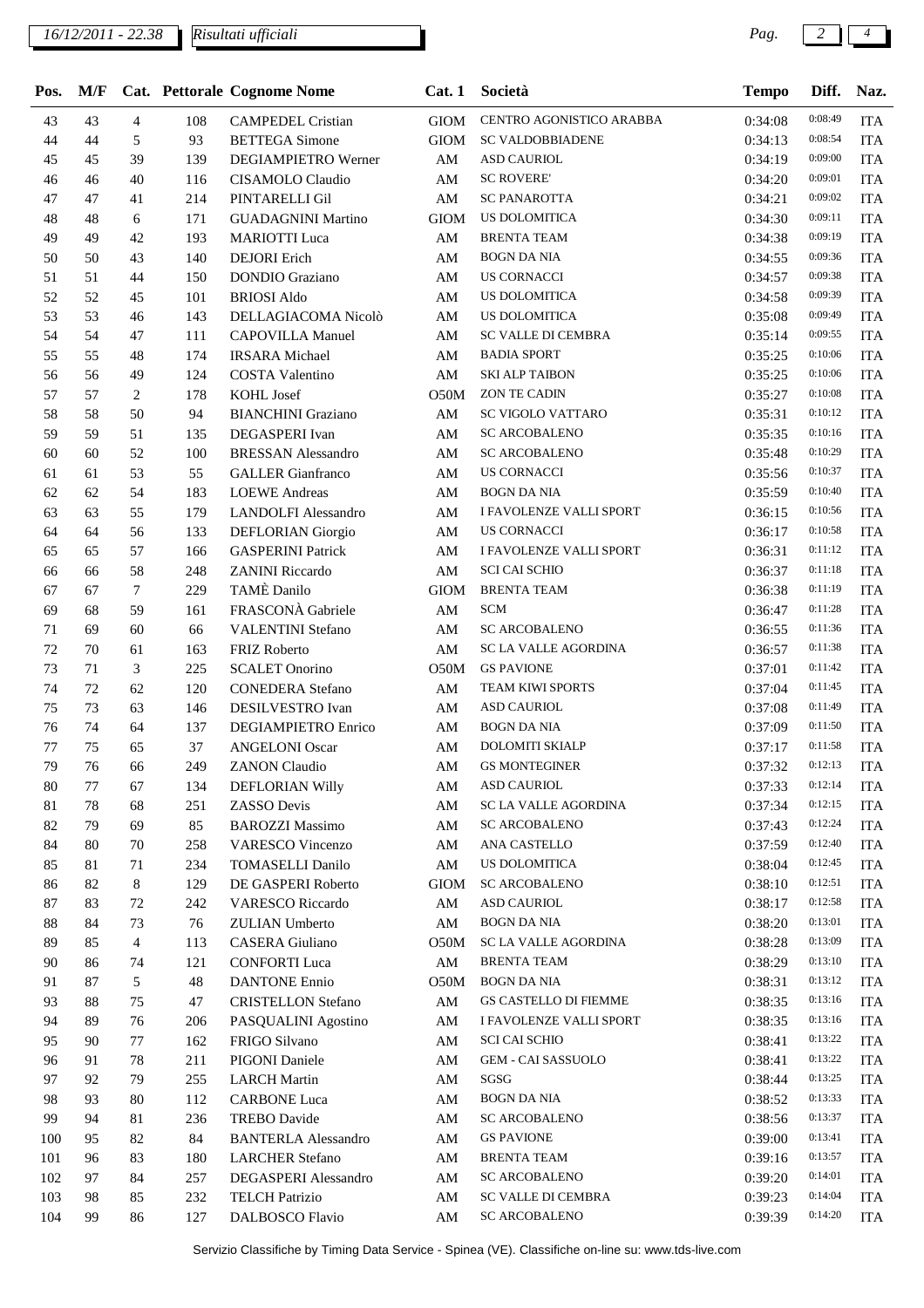*Risultati ufficiali*

| M/F |                             |     |                            | Cat.1                       |                           |                                 | Diff.        | Naz.       |
|-----|-----------------------------|-----|----------------------------|-----------------------------|---------------------------|---------------------------------|--------------|------------|
| 43  | $\overline{4}$              | 108 | <b>CAMPEDEL Cristian</b>   | <b>GIOM</b>                 | CENTRO AGONISTICO ARABBA  | 0:34:08                         | 0:08:49      | <b>ITA</b> |
| 44  | 5                           | 93  | <b>BETTEGA Simone</b>      | <b>GIOM</b>                 | <b>SC VALDOBBIADENE</b>   | 0:34:13                         | 0:08:54      | <b>ITA</b> |
| 45  | 39                          | 139 | DEGIAMPIETRO Werner        | $\mathbf{A}\mathbf{M}$      | <b>ASD CAURIOL</b>        | 0:34:19                         | 0:09:00      | <b>ITA</b> |
| 46  | 40                          | 116 | CISAMOLO Claudio           | AM                          | <b>SC ROVERE'</b>         | 0:34:20                         | 0:09:01      | <b>ITA</b> |
| 47  | 41                          | 214 | PINTARELLI Gil             | AM                          | <b>SC PANAROTTA</b>       | 0:34:21                         | 0:09:02      | <b>ITA</b> |
| 48  | 6                           | 171 | <b>GUADAGNINI Martino</b>  | <b>GIOM</b>                 | <b>US DOLOMITICA</b>      | 0:34:30                         | 0:09:11      | <b>ITA</b> |
| 49  | 42                          | 193 | <b>MARIOTTI</b> Luca       | $\mathbf{A}\mathbf{M}$      | <b>BRENTA TEAM</b>        | 0:34:38                         | 0:09:19      | <b>ITA</b> |
| 50  | 43                          | 140 | <b>DEJORI</b> Erich        | $\mathbf{A}\mathbf{M}$      | <b>BOGN DA NIA</b>        | 0:34:55                         | 0:09:36      | <b>ITA</b> |
| 51  | 44                          | 150 | <b>DONDIO</b> Graziano     | AM                          | <b>US CORNACCI</b>        | 0:34:57                         | 0:09:38      | <b>ITA</b> |
| 52  | 45                          | 101 | <b>BRIOSI</b> Aldo         | AM                          | <b>US DOLOMITICA</b>      | 0:34:58                         | 0:09:39      | <b>ITA</b> |
| 53  | 46                          | 143 | DELLAGIACOMA Nicolò        | $\mathbf{A}\mathbf{M}$      | <b>US DOLOMITICA</b>      | 0:35:08                         | 0:09:49      | <b>ITA</b> |
| 54  | 47                          | 111 | <b>CAPOVILLA Manuel</b>    | $\mathbf{A}\mathbf{M}$      | SC VALLE DI CEMBRA        | 0:35:14                         | 0:09:55      | <b>ITA</b> |
| 55  | 48                          | 174 | <b>IRSARA</b> Michael      | $\mathbf{A}\mathbf{M}$      | <b>BADIA SPORT</b>        | 0:35:25                         | 0:10:06      | <b>ITA</b> |
| 56  | 49                          | 124 | <b>COSTA Valentino</b>     | $\mathbf{A}\mathbf{M}$      | <b>SKI ALP TAIBON</b>     | 0:35:25                         | 0:10:06      | <b>ITA</b> |
| 57  | 2                           | 178 | <b>KOHL Josef</b>          | O50M                        | <b>ZON TE CADIN</b>       | 0:35:27                         | 0:10:08      | <b>ITA</b> |
| 58  | 50                          | 94  | <b>BIANCHINI</b> Graziano  | $\mathbf{A}\mathbf{M}$      | SC VIGOLO VATTARO         | 0:35:31                         | 0:10:12      | <b>ITA</b> |
| 59  | 51                          | 135 | DEGASPERI Ivan             | $\mathbf{A}\mathbf{M}$      | <b>SC ARCOBALENO</b>      | 0:35:35                         | 0:10:16      | <b>ITA</b> |
| 60  | 52                          | 100 | <b>BRESSAN Alessandro</b>  | AM                          | <b>SC ARCOBALENO</b>      | 0:35:48                         | 0:10:29      | <b>ITA</b> |
| 61  | 53                          | 55  | <b>GALLER</b> Gianfranco   | AM                          | <b>US CORNACCI</b>        | 0:35:56                         | 0:10:37      | <b>ITA</b> |
| 62  | 54                          | 183 | <b>LOEWE</b> Andreas       | AM                          | <b>BOGN DA NIA</b>        | 0:35:59                         | 0:10:40      | <b>ITA</b> |
| 63  | 55                          | 179 | <b>LANDOLFI</b> Alessandro | AM                          | I FAVOLENZE VALLI SPORT   | 0:36:15                         | 0:10:56      | <b>ITA</b> |
| 64  | 56                          | 133 | DEFLORIAN Giorgio          | AM                          | <b>US CORNACCI</b>        | 0:36:17                         | 0:10:58      | <b>ITA</b> |
| 65  | 57                          | 166 | <b>GASPERINI Patrick</b>   | $\mathbf{A}\mathbf{M}$      | I FAVOLENZE VALLI SPORT   | 0:36:31                         | 0:11:12      | <b>ITA</b> |
| 66  | 58                          | 248 | <b>ZANINI Riccardo</b>     | $\mathbf{A}\mathbf{M}$      | <b>SCI CAI SCHIO</b>      | 0:36:37                         | 0:11:18      | <b>ITA</b> |
| 67  | 7                           | 229 | <b>TAMÈ</b> Danilo         | <b>GIOM</b>                 | <b>BRENTA TEAM</b>        | 0:36:38                         | 0:11:19      | <b>ITA</b> |
| 68  | 59                          | 161 | FRASCONÀ Gabriele          | $\mathbf{A}\mathbf{M}$      | <b>SCM</b>                | 0:36:47                         | 0:11:28      | <b>ITA</b> |
| 69  | 60                          | 66  | <b>VALENTINI Stefano</b>   | $\mathbf{A}\mathbf{M}$      | <b>SC ARCOBALENO</b>      | 0:36:55                         | 0:11:36      | <b>ITA</b> |
| 70  | 61                          | 163 | <b>FRIZ Roberto</b>        | $\mathbf{A}\mathbf{M}$      | SC LA VALLE AGORDINA      | 0:36:57                         | 0:11:38      | <b>ITA</b> |
| 71  | $\ensuremath{\mathfrak{Z}}$ | 225 | <b>SCALET Onorino</b>      | O50M                        | <b>GS PAVIONE</b>         | 0:37:01                         | 0:11:42      | <b>ITA</b> |
| 72  | 62                          | 120 | <b>CONEDERA</b> Stefano    | AM                          | TEAM KIWI SPORTS          | 0:37:04                         | 0:11:45      | <b>ITA</b> |
| 73  | 63                          | 146 | DESILVESTRO Ivan           | $\mathbf{A}\mathbf{M}$      | <b>ASD CAURIOL</b>        | 0:37:08                         | 0:11:49      | <b>ITA</b> |
| 74  | 64                          | 137 | <b>DEGIAMPIETRO Enrico</b> | AM                          | <b>BOGN DA NIA</b>        | 0:37:09                         | 0:11:50      | <b>ITA</b> |
| 75  | 65                          | 37  | <b>ANGELONI Oscar</b>      | AM                          | DOLOMITI SKIALP           | 0:37:17                         | 0:11:58      | <b>ITA</b> |
| 76  | 66                          | 249 | <b>ZANON Claudio</b>       | AM                          | <b>GS MONTEGINER</b>      | 0:37:32                         | 0:12:13      | <b>ITA</b> |
| 77  | 67                          | 134 | DEFLORIAN Willy            | AM                          | ASD CAURIOL               | 0:37:33                         | 0:12:14      | ITA        |
| 78  | 68                          | 251 | ZASSO Devis                | AM                          | SC LA VALLE AGORDINA      | 0:37:34                         | 0:12:15      | <b>ITA</b> |
| 79  | 69                          | 85  | <b>BAROZZI Massimo</b>     | $\mathbf{A}\mathbf{M}$      | <b>SC ARCOBALENO</b>      | 0:37:43                         | 0:12:24      | <b>ITA</b> |
| 80  | 70                          | 258 | <b>VARESCO Vincenzo</b>    | AM                          | ANA CASTELLO              | 0:37:59                         | 0:12:40      | <b>ITA</b> |
| 81  | 71                          | 234 | <b>TOMASELLI Danilo</b>    | AM                          | <b>US DOLOMITICA</b>      | 0:38:04                         | 0:12:45      | <b>ITA</b> |
| 82  | $\,8\,$                     | 129 | DE GASPERI Roberto         | <b>GIOM</b>                 | <b>SC ARCOBALENO</b>      | 0:38:10                         | 0:12:51      | <b>ITA</b> |
| 83  | 72                          | 242 | <b>VARESCO Riccardo</b>    | AM                          | <b>ASD CAURIOL</b>        | 0:38:17                         | 0:12:58      | <b>ITA</b> |
| 84  | 73                          | 76  | ZULIAN Umberto             | $\mathbf{A}\mathbf{M}$      | <b>BOGN DA NIA</b>        | 0:38:20                         | 0:13:01      | <b>ITA</b> |
| 85  | 4                           | 113 | <b>CASERA</b> Giuliano     | O50M                        |                           | 0:38:28                         | 0:13:09      | <b>ITA</b> |
| 86  | 74                          | 121 | <b>CONFORTI</b> Luca       | AM                          | <b>BRENTA TEAM</b>        | 0:38:29                         | 0:13:10      | <b>ITA</b> |
| 87  | 5                           | 48  | <b>DANTONE Ennio</b>       | O50M                        | <b>BOGN DA NIA</b>        | 0:38:31                         | 0:13:12      | <b>ITA</b> |
| 88  | 75                          | 47  | <b>CRISTELLON Stefano</b>  | AM                          | GS CASTELLO DI FIEMME     | 0:38:35                         | 0:13:16      | <b>ITA</b> |
| 89  | 76                          | 206 | PASQUALINI Agostino        | AM                          | I FAVOLENZE VALLI SPORT   | 0:38:35                         | 0:13:16      | <b>ITA</b> |
| 90  | 77                          | 162 | FRIGO Silvano              | AM                          | <b>SCI CAI SCHIO</b>      | 0:38:41                         | 0:13:22      | <b>ITA</b> |
| 91  | 78                          | 211 | <b>PIGONI</b> Daniele      | AM                          | <b>GEM - CAI SASSUOLO</b> | 0:38:41                         | 0:13:22      | <b>ITA</b> |
| 92  | 79                          | 255 | <b>LARCH Martin</b>        | AM                          | SGSG                      | 0:38:44                         | 0:13:25      | <b>ITA</b> |
| 93  | 80                          | 112 | <b>CARBONE Luca</b>        | AM                          | <b>BOGN DA NIA</b>        | 0:38:52                         | 0:13:33      | <b>ITA</b> |
| 94  | 81                          | 236 | <b>TREBO</b> Davide        | AM                          | <b>SC ARCOBALENO</b>      | 0:38:56                         | 0:13:37      | <b>ITA</b> |
| 95  | 82                          | 84  | <b>BANTERLA Alessandro</b> | $\mathbf{A}\mathbf{M}$      | <b>GS PAVIONE</b>         | 0:39:00                         | 0:13:41      | <b>ITA</b> |
| 96  | 83                          | 180 | <b>LARCHER Stefano</b>     | AM                          | <b>BRENTA TEAM</b>        | 0:39:16                         | 0:13:57      | <b>ITA</b> |
| 97  | 84                          | 257 | DEGASPERI Alessandro       | AM                          | <b>SC ARCOBALENO</b>      | 0:39:20                         | 0:14:01      | <b>ITA</b> |
| 98  | 85                          | 232 | <b>TELCH Patrizio</b>      | AM                          | SC VALLE DI CEMBRA        | 0:39:23                         | 0:14:04      | <b>ITA</b> |
| 99  | 86                          | 127 | DALBOSCO Flavio            | AM                          | <b>SC ARCOBALENO</b>      | 0:39:39                         | 0:14:20      | <b>ITA</b> |
|     |                             |     |                            | Cat. Pettorale Cognome Nome |                           | Società<br>SC LA VALLE AGORDINA | <b>Tempo</b> |            |

Servizio Classifiche by Timing Data Service - Spinea (VE). Classifiche on-line su: www.tds-live.com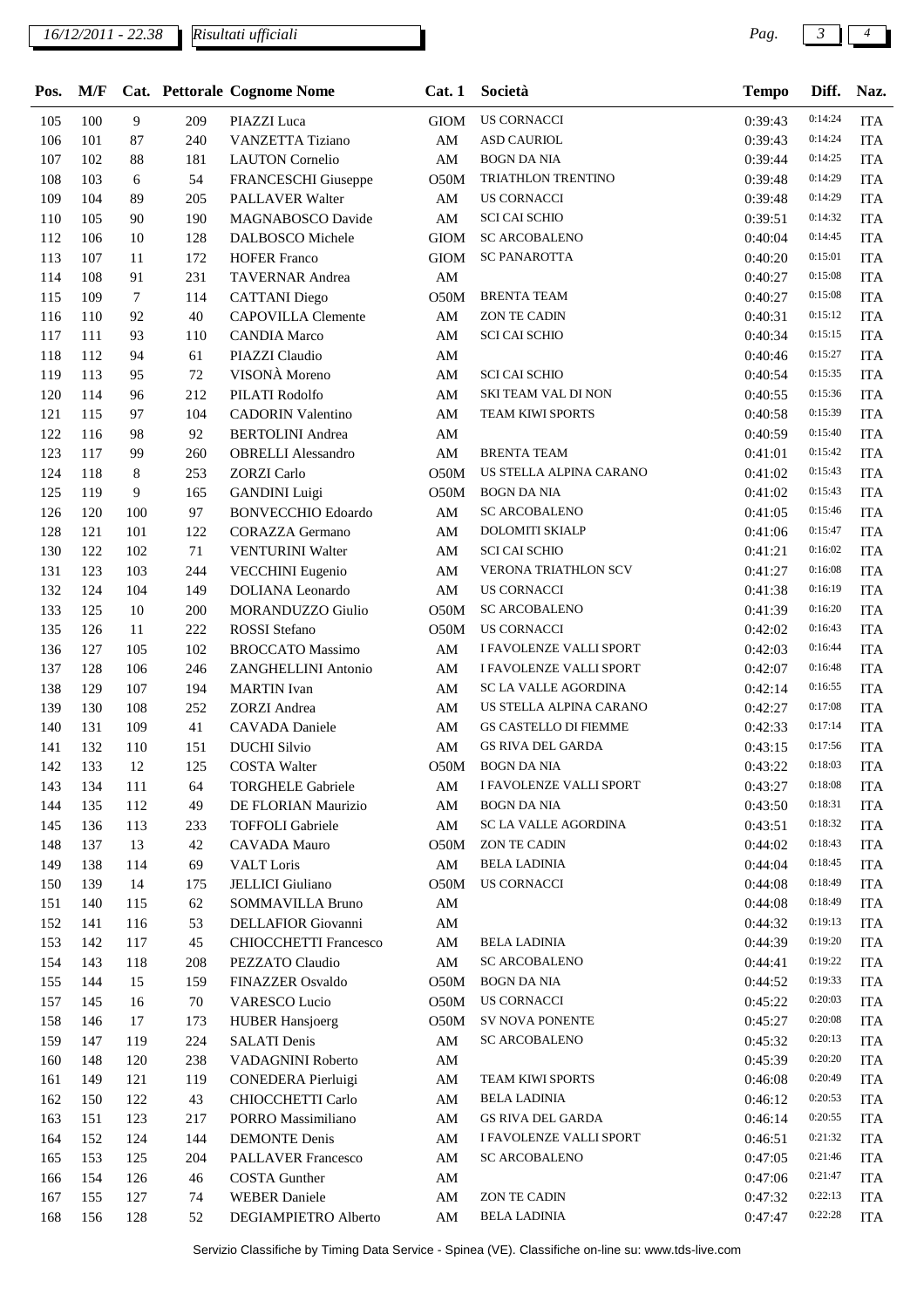*Risultati ufficiali*

| Pos. | M/F |     |        | Cat. Pettorale Cognome Nome  | Cat.1                  | Società                      | <b>Tempo</b> | Diff.   | Naz.       |
|------|-----|-----|--------|------------------------------|------------------------|------------------------------|--------------|---------|------------|
| 105  | 100 | 9   | 209    | PIAZZI Luca                  | <b>GIOM</b>            | <b>US CORNACCI</b>           | 0:39:43      | 0:14:24 | <b>ITA</b> |
| 106  | 101 | 87  | 240    | <b>VANZETTA Tiziano</b>      | $\mathbf{A}\mathbf{M}$ | <b>ASD CAURIOL</b>           | 0:39:43      | 0:14:24 | <b>ITA</b> |
| 107  | 102 | 88  | 181    | <b>LAUTON</b> Cornelio       | $\mathbf{A}\mathbf{M}$ | <b>BOGN DA NIA</b>           | 0:39:44      | 0:14:25 | <b>ITA</b> |
| 108  | 103 | 6   | 54     | FRANCESCHI Giuseppe          | O50M                   | TRIATHLON TRENTINO           | 0:39:48      | 0:14:29 | <b>ITA</b> |
| 109  | 104 | 89  | 205    | PALLAVER Walter              | AM                     | <b>US CORNACCI</b>           | 0:39:48      | 0:14:29 | <b>ITA</b> |
| 110  | 105 | 90  | 190    | <b>MAGNABOSCO Davide</b>     | $\mathbf{A}\mathbf{M}$ | <b>SCI CAI SCHIO</b>         | 0:39:51      | 0:14:32 | <b>ITA</b> |
| 112  | 106 | 10  | 128    | <b>DALBOSCO</b> Michele      | <b>GIOM</b>            | <b>SC ARCOBALENO</b>         | 0:40:04      | 0:14:45 | <b>ITA</b> |
| 113  | 107 | 11  | 172    | <b>HOFER Franco</b>          | <b>GIOM</b>            | <b>SC PANAROTTA</b>          | 0:40:20      | 0:15:01 | <b>ITA</b> |
| 114  | 108 | 91  | 231    | <b>TAVERNAR Andrea</b>       | AM                     |                              | 0:40:27      | 0:15:08 | <b>ITA</b> |
| 115  | 109 | 7   | 114    | <b>CATTANI</b> Diego         | O50M                   | <b>BRENTA TEAM</b>           | 0:40:27      | 0:15:08 | <b>ITA</b> |
| 116  | 110 | 92  | 40     | <b>CAPOVILLA</b> Clemente    | $\mathbf{A}\mathbf{M}$ | <b>ZON TE CADIN</b>          | 0:40:31      | 0:15:12 | <b>ITA</b> |
| 117  | 111 | 93  | 110    | <b>CANDIA Marco</b>          | $\mathbf{A}\mathbf{M}$ | <b>SCI CAI SCHIO</b>         | 0:40:34      | 0:15:15 | <b>ITA</b> |
| 118  | 112 | 94  | 61     | PIAZZI Claudio               | AM                     |                              | 0:40:46      | 0:15:27 | <b>ITA</b> |
| 119  | 113 | 95  | 72     | VISONÀ Moreno                | AM                     | <b>SCI CAI SCHIO</b>         | 0:40:54      | 0:15:35 | <b>ITA</b> |
| 120  | 114 | 96  | 212    | PILATI Rodolfo               | AM                     | SKI TEAM VAL DI NON          | 0:40:55      | 0:15:36 | <b>ITA</b> |
| 121  | 115 | 97  | 104    | <b>CADORIN Valentino</b>     | $\mathbf{A}\mathbf{M}$ | TEAM KIWI SPORTS             | 0:40:58      | 0:15:39 | <b>ITA</b> |
| 122  | 116 | 98  | 92     | <b>BERTOLINI</b> Andrea      | $\mathbf{A}\mathbf{M}$ |                              | 0:40:59      | 0:15:40 | <b>ITA</b> |
| 123  | 117 | 99  | 260    | <b>OBRELLI</b> Alessandro    | $\mathbf{A}\mathbf{M}$ | <b>BRENTA TEAM</b>           | 0:41:01      | 0:15:42 | <b>ITA</b> |
| 124  | 118 | 8   | 253    | <b>ZORZI</b> Carlo           | O50M                   | US STELLA ALPINA CARANO      | 0:41:02      | 0:15:43 | <b>ITA</b> |
| 125  | 119 | 9   | 165    | <b>GANDINI</b> Luigi         | O50M                   | <b>BOGN DA NIA</b>           | 0:41:02      | 0:15:43 | <b>ITA</b> |
| 126  | 120 | 100 | 97     | <b>BONVECCHIO Edoardo</b>    | $\mathbf{A}\mathbf{M}$ | <b>SC ARCOBALENO</b>         | 0:41:05      | 0:15:46 | <b>ITA</b> |
| 128  | 121 | 101 | 122    | CORAZZA Germano              | ${\rm AM}$             | DOLOMITI SKIALP              | 0:41:06      | 0:15:47 | <b>ITA</b> |
| 130  | 122 | 102 | $71\,$ | <b>VENTURINI Walter</b>      | $\mathbf{A}\mathbf{M}$ | <b>SCI CAI SCHIO</b>         | 0:41:21      | 0:16:02 | <b>ITA</b> |
| 131  | 123 | 103 | 244    | <b>VECCHINI</b> Eugenio      | AM                     | VERONA TRIATHLON SCV         | 0:41:27      | 0:16:08 | <b>ITA</b> |
| 132  | 124 | 104 | 149    | DOLIANA Leonardo             | AM                     | <b>US CORNACCI</b>           | 0:41:38      | 0:16:19 | <b>ITA</b> |
| 133  | 125 | 10  | 200    | MORANDUZZO Giulio            | O50M                   | <b>SC ARCOBALENO</b>         | 0:41:39      | 0:16:20 | <b>ITA</b> |
| 135  | 126 | 11  | 222    | ROSSI Stefano                | O50M                   | <b>US CORNACCI</b>           | 0:42:02      | 0:16:43 | <b>ITA</b> |
| 136  | 127 | 105 | 102    | <b>BROCCATO Massimo</b>      | $\mathbf{A}\mathbf{M}$ | I FAVOLENZE VALLI SPORT      | 0:42:03      | 0:16:44 | <b>ITA</b> |
| 137  | 128 | 106 | 246    | ZANGHELLINI Antonio          | $\mathbf{A}\mathbf{M}$ | I FAVOLENZE VALLI SPORT      | 0:42:07      | 0:16:48 | <b>ITA</b> |
| 138  | 129 | 107 | 194    | <b>MARTIN</b> Ivan           | AM                     | <b>SC LA VALLE AGORDINA</b>  | 0:42:14      | 0:16:55 | <b>ITA</b> |
| 139  | 130 | 108 | 252    | <b>ZORZI</b> Andrea          | AM                     | US STELLA ALPINA CARANO      | 0:42:27      | 0:17:08 | <b>ITA</b> |
| 140  | 131 | 109 | 41     | <b>CAVADA</b> Daniele        | AM                     | <b>GS CASTELLO DI FIEMME</b> | 0:42:33      | 0:17:14 | <b>ITA</b> |
| 141  | 132 | 110 | 151    | <b>DUCHI Silvio</b>          | AM                     | <b>GS RIVA DEL GARDA</b>     | 0:43:15      | 0:17:56 | <b>ITA</b> |
| 142  | 133 | 12  | 125    | <b>COSTA Walter</b>          | O50M                   | <b>BOGN DA NIA</b>           | 0:43:22      | 0:18:03 | <b>ITA</b> |
| 143  | 134 | 111 | 64     | <b>TORGHELE Gabriele</b>     | AM                     | I FAVOLENZE VALLI SPORT      | 0:43:27      | 0:18:08 | <b>ITA</b> |
| 144  | 135 | 112 | 49     | DE FLORIAN Maurizio          | $\mathbf{A}\mathbf{M}$ | <b>BOGN DA NIA</b>           | 0:43:50      | 0:18:31 | <b>ITA</b> |
| 145  | 136 | 113 | 233    | <b>TOFFOLI</b> Gabriele      | $\mathbf{A}\mathbf{M}$ | SC LA VALLE AGORDINA         | 0:43:51      | 0:18:32 | <b>ITA</b> |
| 148  | 137 | 13  | 42     | <b>CAVADA</b> Mauro          | O50M                   | ZON TE CADIN                 | 0:44:02      | 0:18:43 | <b>ITA</b> |
| 149  | 138 | 114 | 69     | <b>VALT</b> Loris            | AM                     | <b>BELA LADINIA</b>          | 0:44:04      | 0:18:45 | <b>ITA</b> |
| 150  | 139 | 14  | 175    | <b>JELLICI</b> Giuliano      | O50M                   | US CORNACCI                  | 0:44:08      | 0:18:49 | <b>ITA</b> |
| 151  | 140 | 115 | 62     | SOMMAVILLA Bruno             | AM                     |                              | 0:44:08      | 0:18:49 | <b>ITA</b> |
| 152  | 141 | 116 | 53     | DELLAFIOR Giovanni           | AM                     |                              | 0:44:32      | 0:19:13 | <b>ITA</b> |
| 153  | 142 | 117 | 45     | <b>CHIOCCHETTI Francesco</b> | $\mathbf{A}\mathbf{M}$ | <b>BELA LADINIA</b>          | 0:44:39      | 0:19:20 | <b>ITA</b> |
| 154  | 143 | 118 | 208    | PEZZATO Claudio              | AM                     | <b>SC ARCOBALENO</b>         | 0:44:41      | 0:19:22 | <b>ITA</b> |
| 155  | 144 | 15  | 159    | FINAZZER Osvaldo             | O50M                   | <b>BOGN DA NIA</b>           | 0:44:52      | 0:19:33 | <b>ITA</b> |
| 157  | 145 | 16  | 70     | VARESCO Lucio                | O50M                   | US CORNACCI                  | 0:45:22      | 0:20:03 | <b>ITA</b> |
| 158  | 146 | 17  | 173    | <b>HUBER Hansjoerg</b>       | O50M                   | SV NOVA PONENTE              | 0:45:27      | 0:20:08 | <b>ITA</b> |
| 159  | 147 | 119 | 224    | <b>SALATI Denis</b>          | AM                     | <b>SC ARCOBALENO</b>         | 0:45:32      | 0:20:13 | <b>ITA</b> |
| 160  | 148 | 120 | 238    | VADAGNINI Roberto            | AM                     |                              | 0:45:39      | 0:20:20 | <b>ITA</b> |
| 161  | 149 | 121 | 119    | CONEDERA Pierluigi           | AM                     | TEAM KIWI SPORTS             | 0:46:08      | 0:20:49 | <b>ITA</b> |
| 162  | 150 | 122 | 43     | CHIOCCHETTI Carlo            | AM                     | <b>BELA LADINIA</b>          | 0:46:12      | 0:20:53 | <b>ITA</b> |
| 163  | 151 | 123 | 217    | PORRO Massimiliano           | AM                     | GS RIVA DEL GARDA            | 0:46:14      | 0:20:55 | <b>ITA</b> |
| 164  | 152 | 124 | 144    | <b>DEMONTE</b> Denis         | AM                     | I FAVOLENZE VALLI SPORT      | 0:46:51      | 0:21:32 | <b>ITA</b> |
| 165  | 153 | 125 | 204    | <b>PALLAVER Francesco</b>    | AM                     | <b>SC ARCOBALENO</b>         | 0:47:05      | 0:21:46 | <b>ITA</b> |
| 166  | 154 | 126 | 46     | <b>COSTA Gunther</b>         | AM                     |                              | 0:47:06      | 0:21:47 | <b>ITA</b> |
| 167  | 155 | 127 | 74     | <b>WEBER Daniele</b>         | AM                     | ZON TE CADIN                 | 0:47:32      | 0:22:13 | <b>ITA</b> |
| 168  | 156 | 128 | 52     | DEGIAMPIETRO Alberto         | AM                     | <b>BELA LADINIA</b>          | 0:47:47      | 0:22:28 | <b>ITA</b> |
|      |     |     |        |                              |                        |                              |              |         |            |

Servizio Classifiche by Timing Data Service - Spinea (VE). Classifiche on-line su: www.tds-live.com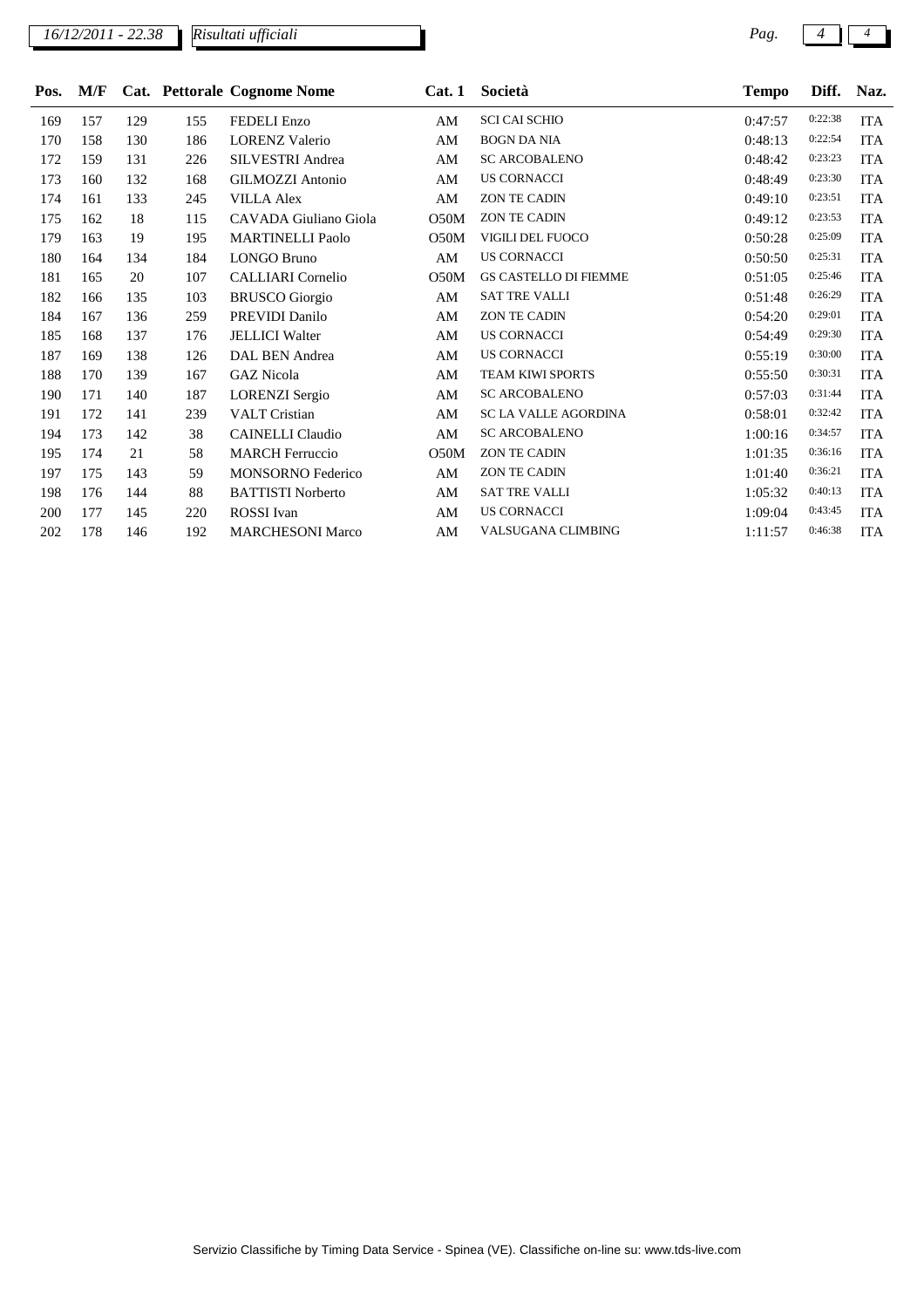*16/12/2011 - 22.38 Risultati ufficiali* **Pag.**  $\begin{bmatrix} 4 \end{bmatrix}$  *Pag.*  $\begin{bmatrix} 4 \end{bmatrix}$   $\begin{bmatrix} 4 \end{bmatrix}$ 

| Pos. | M/F |     |     | Cat. Pettorale Cognome Nome | Cat.1 | Società                      | <b>Tempo</b> | Diff.   | Naz.       |
|------|-----|-----|-----|-----------------------------|-------|------------------------------|--------------|---------|------------|
| 169  | 157 | 129 | 155 | <b>FEDELI</b> Enzo          | AM    | <b>SCI CAI SCHIO</b>         | 0:47:57      | 0:22:38 | <b>ITA</b> |
| 170  | 158 | 130 | 186 | <b>LORENZ Valerio</b>       | AM    | <b>BOGN DA NIA</b>           | 0:48:13      | 0:22:54 | <b>ITA</b> |
| 172  | 159 | 131 | 226 | SILVESTRI Andrea            | AM    | <b>SC ARCOBALENO</b>         | 0:48:42      | 0:23:23 | <b>ITA</b> |
| 173  | 160 | 132 | 168 | GILMOZZI Antonio            | AM    | <b>US CORNACCI</b>           | 0:48:49      | 0:23:30 | <b>ITA</b> |
| 174  | 161 | 133 | 245 | <b>VILLA Alex</b>           | AM    | <b>ZON TE CADIN</b>          | 0:49:10      | 0:23:51 | <b>ITA</b> |
| 175  | 162 | 18  | 115 | CAVADA Giuliano Giola       | O50M  | <b>ZON TE CADIN</b>          | 0:49:12      | 0:23:53 | <b>ITA</b> |
| 179  | 163 | 19  | 195 | <b>MARTINELLI Paolo</b>     | O50M  | VIGILI DEL FUOCO             | 0:50:28      | 0:25:09 | <b>ITA</b> |
| 180  | 164 | 134 | 184 | <b>LONGO Bruno</b>          | AM    | <b>US CORNACCI</b>           | 0:50:50      | 0:25:31 | <b>ITA</b> |
| 181  | 165 | 20  | 107 | <b>CALLIARI</b> Cornelio    | O50M  | <b>GS CASTELLO DI FIEMME</b> | 0:51:05      | 0:25:46 | <b>ITA</b> |
| 182  | 166 | 135 | 103 | <b>BRUSCO</b> Giorgio       | AM    | <b>SAT TRE VALLI</b>         | 0:51:48      | 0:26:29 | <b>ITA</b> |
| 184  | 167 | 136 | 259 | PREVIDI Danilo              | AM    | <b>ZON TE CADIN</b>          | 0:54:20      | 0:29:01 | <b>ITA</b> |
| 185  | 168 | 137 | 176 | <b>JELLICI</b> Walter       | AM    | <b>US CORNACCI</b>           | 0:54:49      | 0:29:30 | <b>ITA</b> |
| 187  | 169 | 138 | 126 | <b>DAL BEN Andrea</b>       | AM    | <b>US CORNACCI</b>           | 0:55:19      | 0:30:00 | <b>ITA</b> |
| 188  | 170 | 139 | 167 | <b>GAZ Nicola</b>           | AM    | TEAM KIWI SPORTS             | 0:55:50      | 0:30:31 | <b>ITA</b> |
| 190  | 171 | 140 | 187 | <b>LORENZI</b> Sergio       | AM    | <b>SC ARCOBALENO</b>         | 0:57:03      | 0:31:44 | <b>ITA</b> |
| 191  | 172 | 141 | 239 | <b>VALT Cristian</b>        | AM    | <b>SC LA VALLE AGORDINA</b>  | 0:58:01      | 0:32:42 | <b>ITA</b> |
| 194  | 173 | 142 | 38  | <b>CAINELLI</b> Claudio     | AM    | <b>SC ARCOBALENO</b>         | 1:00:16      | 0:34:57 | <b>ITA</b> |
| 195  | 174 | 21  | 58  | <b>MARCH Ferruccio</b>      | O50M  | <b>ZON TE CADIN</b>          | 1:01:35      | 0:36:16 | <b>ITA</b> |
| 197  | 175 | 143 | 59  | <b>MONSORNO</b> Federico    | AM    | <b>ZON TE CADIN</b>          | 1:01:40      | 0:36:21 | <b>ITA</b> |
| 198  | 176 | 144 | 88  | <b>BATTISTI Norberto</b>    | AM    | <b>SAT TRE VALLI</b>         | 1:05:32      | 0:40:13 | <b>ITA</b> |
| 200  | 177 | 145 | 220 | <b>ROSSI</b> Ivan           | AM    | <b>US CORNACCI</b>           | 1:09:04      | 0:43:45 | <b>ITA</b> |
| 202  | 178 | 146 | 192 | <b>MARCHESONI Marco</b>     | AM    | VALSUGANA CLIMBING           | 1:11:57      | 0:46:38 | <b>ITA</b> |

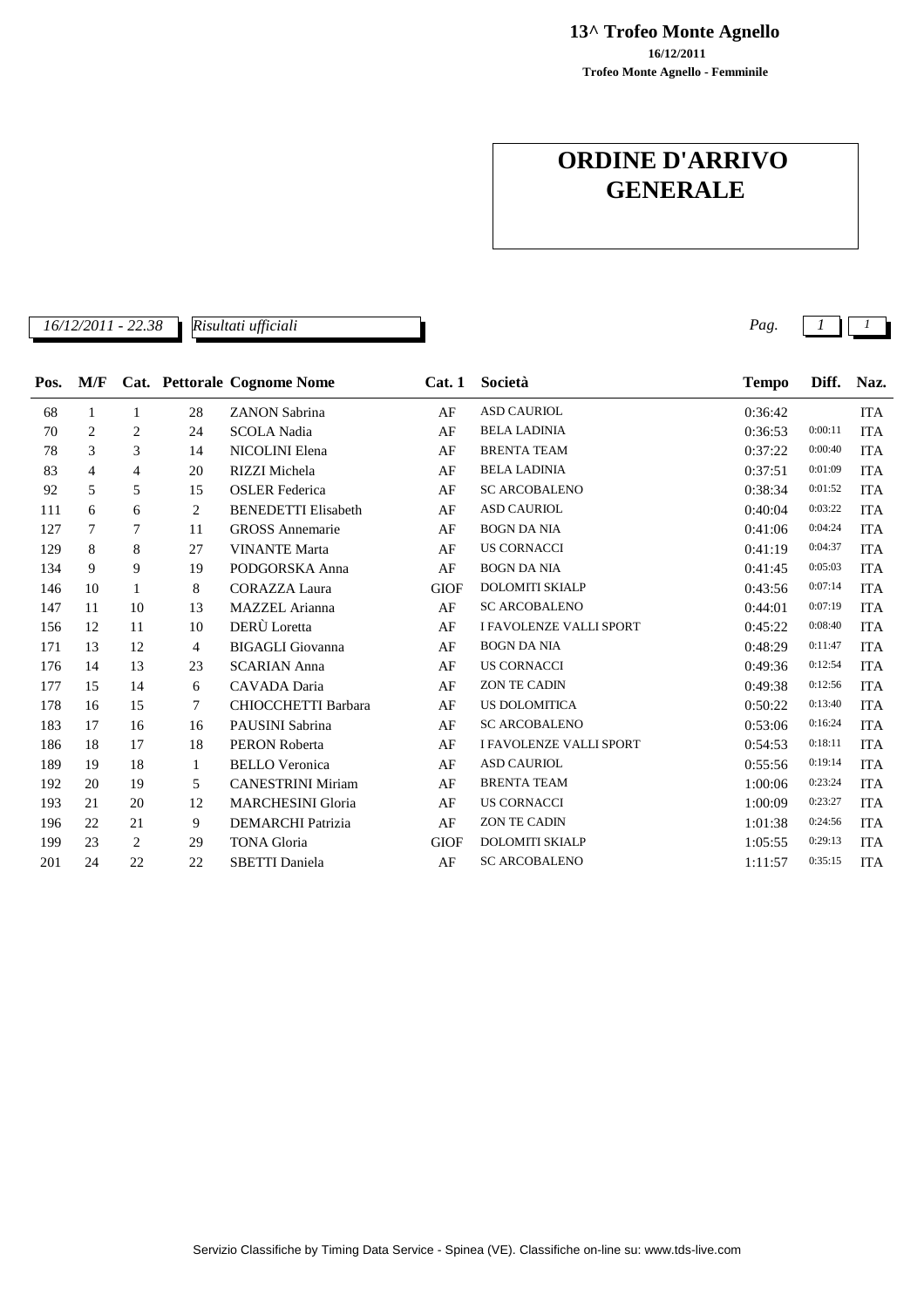**13^ Trofeo Monte Agnello**

**Trofeo Monte Agnello - Femminile 16/12/2011**

# **ORDINE D'ARRIVO GENERALE**

|      | 16/12/2011 - 22.38 |                |                | Risultati ufficiali         |             |                                | Pag.         |         |            |
|------|--------------------|----------------|----------------|-----------------------------|-------------|--------------------------------|--------------|---------|------------|
|      |                    |                |                |                             |             |                                |              |         |            |
| Pos. | M/F                |                |                | Cat. Pettorale Cognome Nome | Cat.1       | Società                        | <b>Tempo</b> | Diff.   | Naz.       |
| 68   | 1                  | 1              | 28             | <b>ZANON Sabrina</b>        | AF          | <b>ASD CAURIOL</b>             | 0:36:42      |         | <b>ITA</b> |
| 70   | 2                  | 2              | 24             | <b>SCOLA Nadia</b>          | AF          | <b>BELA LADINIA</b>            | 0:36:53      | 0:00:11 | <b>ITA</b> |
| 78   | 3                  | 3              | 14             | NICOLINI Elena              | AF          | <b>BRENTA TEAM</b>             | 0:37:22      | 0:00:40 | <b>ITA</b> |
| 83   | $\overline{4}$     | 4              | 20             | RIZZI Michela               | AF          | <b>BELA LADINIA</b>            | 0:37:51      | 0:01:09 | <b>ITA</b> |
| 92   | 5                  | 5              | 15             | <b>OSLER</b> Federica       | AF          | <b>SC ARCOBALENO</b>           | 0:38:34      | 0:01:52 | <b>ITA</b> |
| 111  | 6                  | 6              | $\overline{c}$ | <b>BENEDETTI Elisabeth</b>  | AF          | <b>ASD CAURIOL</b>             | 0:40:04      | 0:03:22 | <b>ITA</b> |
| 127  | 7                  | 7              | 11             | <b>GROSS</b> Annemarie      | AF          | <b>BOGN DA NIA</b>             | 0:41:06      | 0:04:24 | <b>ITA</b> |
| 129  | 8                  | 8              | 27             | <b>VINANTE Marta</b>        | AF          | <b>US CORNACCI</b>             | 0:41:19      | 0:04:37 | <b>ITA</b> |
| 134  | 9                  | 9              | 19             | PODGORSKA Anna              | AF          | <b>BOGN DA NIA</b>             | 0:41:45      | 0:05:03 | <b>ITA</b> |
| 146  | 10                 | 1              | 8              | <b>CORAZZA Laura</b>        | <b>GIOF</b> | <b>DOLOMITI SKIALP</b>         | 0:43:56      | 0:07:14 | <b>ITA</b> |
| 147  | 11                 | 10             | 13             | <b>MAZZEL</b> Arianna       | AF          | <b>SC ARCOBALENO</b>           | 0:44:01      | 0:07:19 | <b>ITA</b> |
| 156  | 12                 | 11             | 10             | DERÙ Loretta                | AF          | <b>I FAVOLENZE VALLI SPORT</b> | 0:45:22      | 0:08:40 | <b>ITA</b> |
| 171  | 13                 | 12             | 4              | <b>BIGAGLI</b> Giovanna     | AF          | <b>BOGN DA NIA</b>             | 0:48:29      | 0:11:47 | <b>ITA</b> |
| 176  | 14                 | 13             | 23             | <b>SCARIAN Anna</b>         | AF          | <b>US CORNACCI</b>             | 0:49:36      | 0:12:54 | <b>ITA</b> |
| 177  | 15                 | 14             | 6              | CAVADA Daria                | AF          | <b>ZON TE CADIN</b>            | 0:49:38      | 0:12:56 | <b>ITA</b> |
| 178  | 16                 | 15             | 7              | <b>CHIOCCHETTI Barbara</b>  | AF          | <b>US DOLOMITICA</b>           | 0:50:22      | 0:13:40 | <b>ITA</b> |
| 183  | 17                 | 16             | 16             | PAUSINI Sabrina             | AF          | <b>SC ARCOBALENO</b>           | 0:53:06      | 0:16:24 | <b>ITA</b> |
| 186  | 18                 | 17             | 18             | <b>PERON Roberta</b>        | AF          | <b>I FAVOLENZE VALLI SPORT</b> | 0:54:53      | 0:18:11 | <b>ITA</b> |
| 189  | 19                 | 18             | 1              | <b>BELLO</b> Veronica       | AF          | <b>ASD CAURIOL</b>             | 0:55:56      | 0:19:14 | <b>ITA</b> |
| 192  | 20                 | 19             | 5              | <b>CANESTRINI Miriam</b>    | AF          | <b>BRENTA TEAM</b>             | 1:00:06      | 0:23:24 | <b>ITA</b> |
| 193  | 21                 | 20             | 12             | <b>MARCHESINI Gloria</b>    | AF          | <b>US CORNACCI</b>             | 1:00:09      | 0:23:27 | <b>ITA</b> |
| 196  | 22                 | 21             | 9              | <b>DEMARCHI Patrizia</b>    | AF          | <b>ZON TE CADIN</b>            | 1:01:38      | 0:24:56 | <b>ITA</b> |
| 199  | 23                 | $\overline{2}$ | 29             | <b>TONA</b> Gloria          | <b>GIOF</b> | <b>DOLOMITI SKIALP</b>         | 1:05:55      | 0:29:13 | <b>ITA</b> |
| 201  | 24                 | 22             | 22             | <b>SBETTI</b> Daniela       | AF          | <b>SC ARCOBALENO</b>           | 1:11:57      | 0:35:15 | <b>ITA</b> |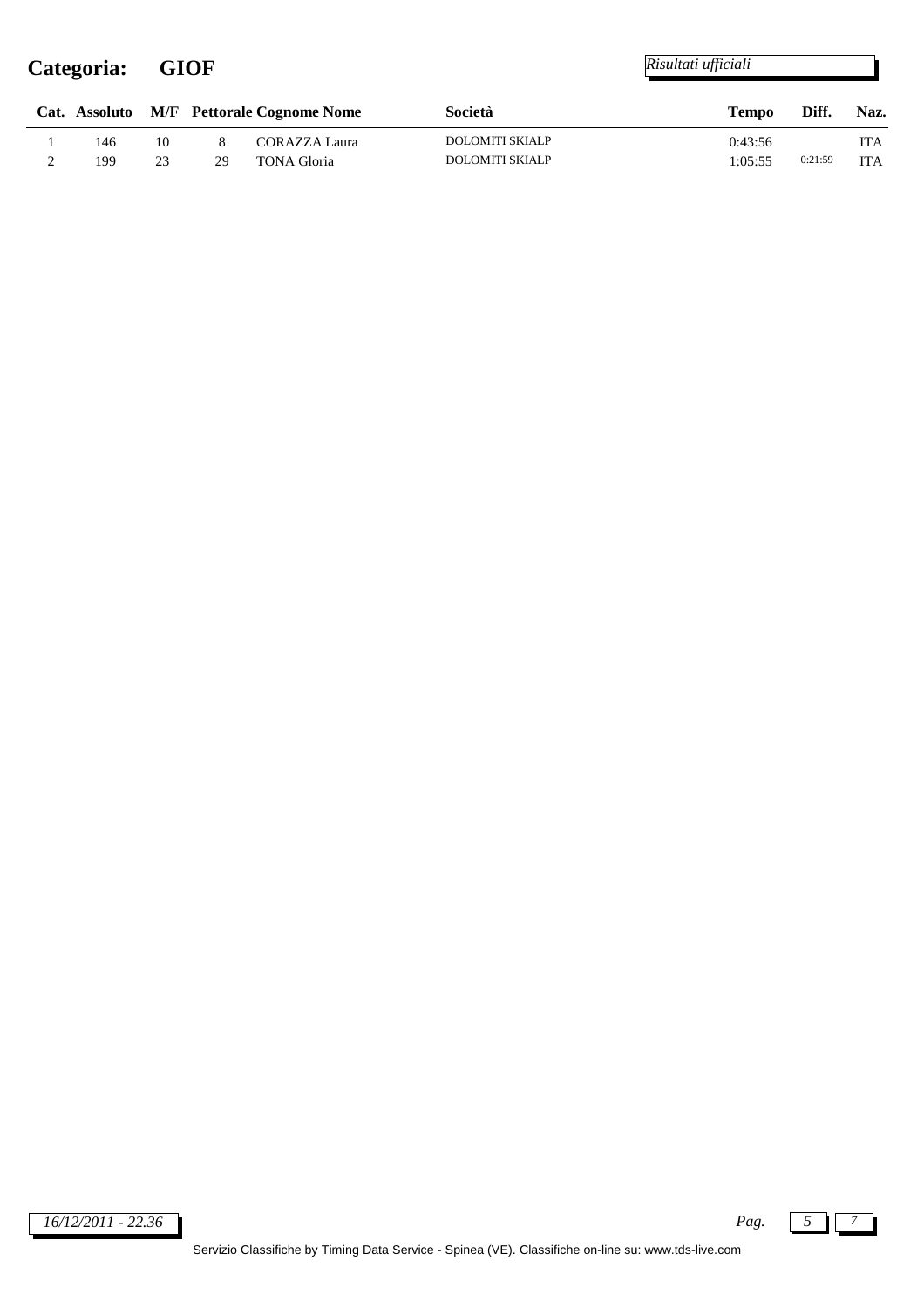## **Categoria: GIOF**

|     |    |    | Cat. Assoluto M/F Pettorale Cognome Nome | Società                | Tempo   | Naz.<br>Diff. |            |
|-----|----|----|------------------------------------------|------------------------|---------|---------------|------------|
| 146 | 10 |    | CORAZZA Laura                            | <b>DOLOMITI SKIALP</b> | 0:43:56 |               | <b>ITA</b> |
| 199 | 23 | 29 | <b>TONA Gloria</b>                       | DOLOMITI SKIALP        | 1:05:55 | 0:21:59       | <b>ITA</b> |

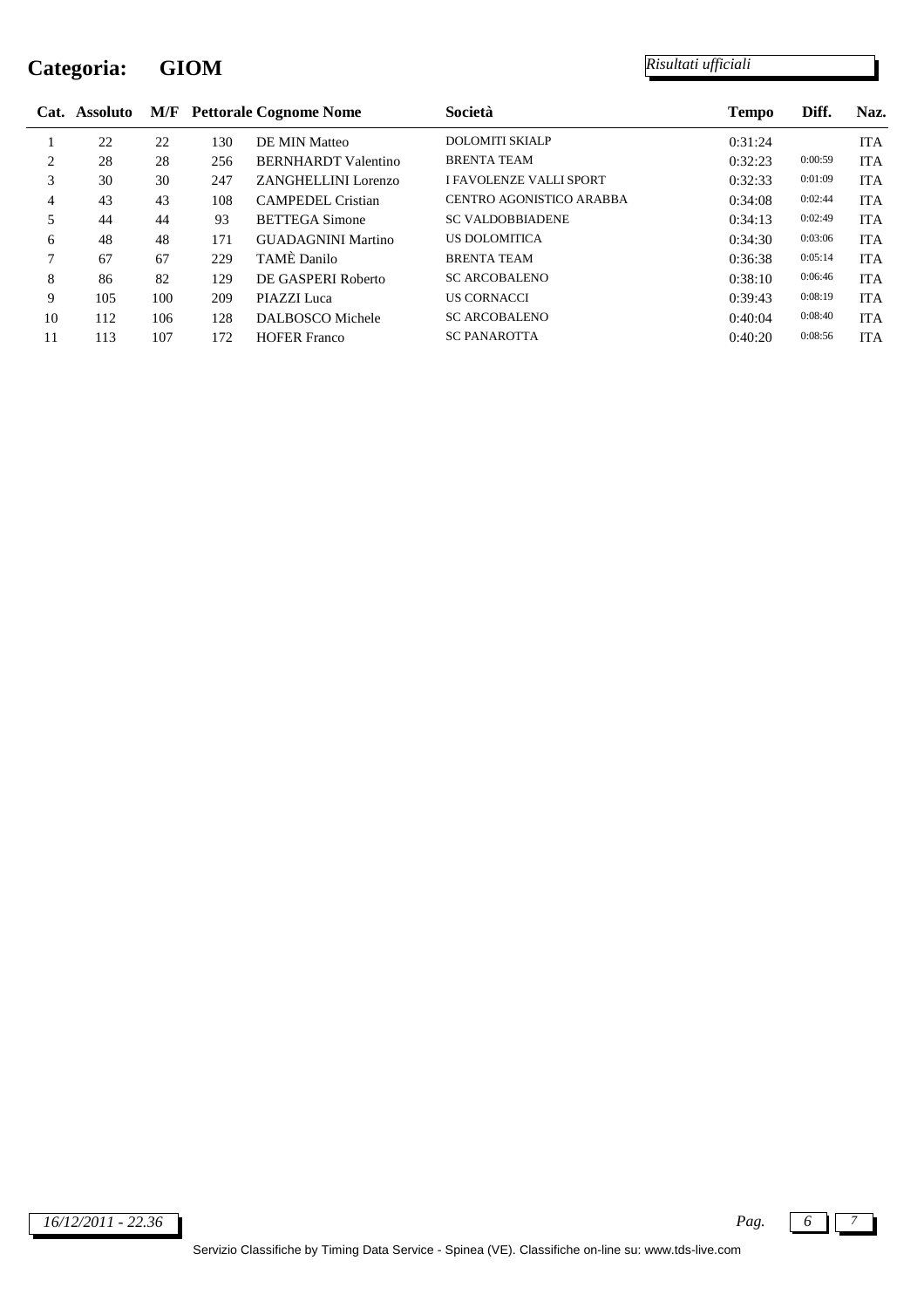## **Categoria: GIOM**

|    | Cat. Assoluto | M/F |     | <b>Pettorale Cognome Nome</b> | Società                        | <b>Tempo</b> | Diff.   | Naz.       |
|----|---------------|-----|-----|-------------------------------|--------------------------------|--------------|---------|------------|
|    | 22            | 22  | 130 | DE MIN Matteo                 | <b>DOLOMITI SKIALP</b>         | 0:31:24      |         | <b>ITA</b> |
| 2  | 28            | 28  | 256 | <b>BERNHARDT</b> Valentino    | <b>BRENTA TEAM</b>             | 0:32:23      | 0:00:59 | <b>ITA</b> |
| 3  | 30            | 30  | 247 | ZANGHELLINI Lorenzo           | <b>I FAVOLENZE VALLI SPORT</b> | 0:32:33      | 0:01:09 | <b>ITA</b> |
| 4  | 43            | 43  | 108 | <b>CAMPEDEL Cristian</b>      | CENTRO AGONISTICO ARABBA       | 0:34:08      | 0:02:44 | <b>ITA</b> |
|    | 44            | 44  | 93  | <b>BETTEGA Simone</b>         | <b>SC VALDOBBIADENE</b>        | 0:34:13      | 0:02:49 | <b>ITA</b> |
| 6  | 48            | 48  | 171 | <b>GUADAGNINI Martino</b>     | <b>US DOLOMITICA</b>           | 0:34:30      | 0:03:06 | <b>ITA</b> |
| 7  | 67            | 67  | 229 | TAMÈ Danilo                   | <b>BRENTA TEAM</b>             | 0:36:38      | 0:05:14 | <b>ITA</b> |
| 8  | 86            | 82  | 129 | DE GASPERI Roberto            | <b>SC ARCOBALENO</b>           | 0:38:10      | 0:06:46 | <b>ITA</b> |
| 9  | 105           | 100 | 209 | PIAZZI Luca                   | <b>US CORNACCI</b>             | 0:39:43      | 0:08:19 | <b>ITA</b> |
| 10 | 112           | 106 | 128 | DALBOSCO Michele              | <b>SC ARCOBALENO</b>           | 0:40:04      | 0:08:40 | <b>ITA</b> |
| 11 | 113           | 107 | 172 | <b>HOFER Franco</b>           | <b>SC PANAROTTA</b>            | 0:40:20      | 0:08:56 | <b>ITA</b> |